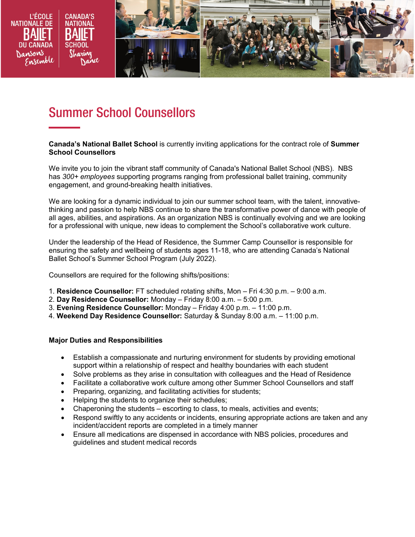

# Summer School Counsellors

#### **Canada's National Ballet School** is currently inviting applications for the contract role of **Summer School Counsellors**

We invite you to join the vibrant staff community of Canada's National Ballet School (NBS). NBS has *300+ employees* supporting programs ranging from professional ballet training, community engagement, and ground-breaking health initiatives.

We are looking for a dynamic individual to join our summer school team, with the talent, innovativethinking and passion to help NBS continue to share the transformative power of dance with people of all ages, abilities, and aspirations. As an organization NBS is continually evolving and we are looking for a professional with unique, new ideas to complement the School's collaborative work culture.

Under the leadership of the Head of Residence, the Summer Camp Counsellor is responsible for ensuring the safety and wellbeing of students ages 11-18, who are attending Canada's National Ballet School's Summer School Program (July 2022).

Counsellors are required for the following shifts/positions:

- 1. **Residence Counsellor:** FT scheduled rotating shifts, Mon Fri 4:30 p.m. 9:00 a.m.
- 2. **Day Residence Counsellor:** Monday Friday 8:00 a.m. 5:00 p.m.
- 3. **Evening Residence Counsellor:** Monday Friday 4:00 p.m. 11:00 p.m.
- 4. **Weekend Day Residence Counsellor:** Saturday & Sunday 8:00 a.m. 11:00 p.m.

#### **Major Duties and Responsibilities**

- Establish a compassionate and nurturing environment for students by providing emotional support within a relationship of respect and healthy boundaries with each student
- Solve problems as they arise in consultation with colleagues and the Head of Residence
- Facilitate a collaborative work culture among other Summer School Counsellors and staff
- Preparing, organizing, and facilitating activities for students;
- Helping the students to organize their schedules;
- Chaperoning the students escorting to class, to meals, activities and events;
- Respond swiftly to any accidents or incidents, ensuring appropriate actions are taken and any incident/accident reports are completed in a timely manner
- Ensure all medications are dispensed in accordance with NBS policies, procedures and guidelines and student medical records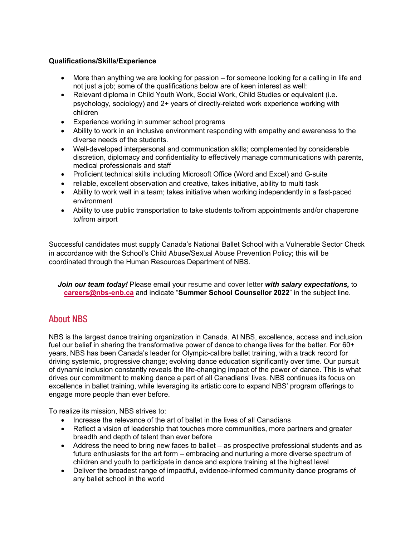### **Qualifications/Skills/Experience**

- More than anything we are looking for passion for someone looking for a calling in life and not just a job; some of the qualifications below are of keen interest as well:
- Relevant diploma in Child Youth Work, Social Work, Child Studies or equivalent (i.e. psychology, sociology) and 2+ years of directly-related work experience working with children
- Experience working in summer school programs
- Ability to work in an inclusive environment responding with empathy and awareness to the diverse needs of the students.
- Well-developed interpersonal and communication skills; complemented by considerable discretion, diplomacy and confidentiality to effectively manage communications with parents, medical professionals and staff
- Proficient technical skills including Microsoft Office (Word and Excel) and G-suite
- reliable, excellent observation and creative, takes initiative, ability to multi task
- Ability to work well in a team; takes initiative when working independently in a fast-paced environment
- Ability to use public transportation to take students to/from appointments and/or chaperone to/from airport

Successful candidates must supply Canada's National Ballet School with a Vulnerable Sector Check in accordance with the School's Child Abuse/Sexual Abuse Prevention Policy; this will be coordinated through the Human Resources Department of NBS.

*Join our team today!* Please email your resume and cover letter *with salary expectations,* to **[careers@nbs-enb.ca](mailto:careers@nbs-enb.ca)** and indicate "**Summer School Counsellor 2022**" in the subject line.

## About NBS

NBS is the largest dance training organization in Canada. At NBS, excellence, access and inclusion fuel our belief in sharing the transformative power of dance to change lives for the better. For 60+ years, NBS has been Canada's leader for Olympic-calibre ballet training, with a track record for driving systemic, progressive change; evolving dance education significantly over time. Our pursuit of dynamic inclusion constantly reveals the life-changing impact of the power of dance. This is what drives our commitment to making dance a part of all Canadians' lives. NBS continues its focus on excellence in ballet training, while leveraging its artistic core to expand NBS' program offerings to engage more people than ever before.

To realize its mission, NBS strives to:

- Increase the relevance of the art of ballet in the lives of all Canadians
- Reflect a vision of leadership that touches more communities, more partners and greater breadth and depth of talent than ever before
- Address the need to bring new faces to ballet as prospective professional students and as future enthusiasts for the art form – embracing and nurturing a more diverse spectrum of children and youth to participate in dance and explore training at the highest level
- Deliver the broadest range of impactful, evidence-informed community dance programs of any ballet school in the world